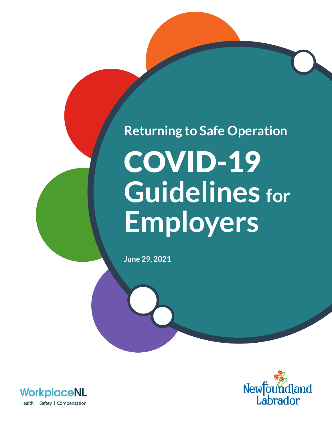# COVID-19 **Returning to Safe Operation**

**Guidelines for**

**Employers**

**June 29, 2021**



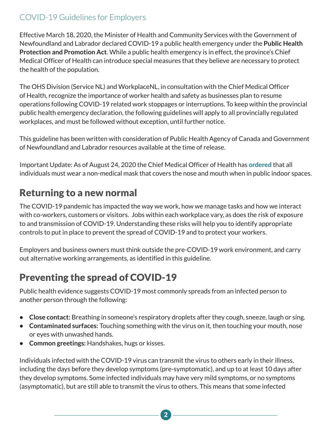Effective March 18, 2020, the Minister of Health and Community Services with the Government of Newfoundland and Labrador declared COVID-19 a public health emergency under the **Public Health Protection and Promotion Act**. While a public health emergency is in effect, the province's Chief Medical Officer of Health can introduce special measures that they believe are necessary to protect the health of the population.

The OHS Division (Service NL) and WorkplaceNL, in consultation with the Chief Medical Officer of Health, recognize the importance of worker health and safety as businesses plan to resume operations following COVID-19 related work stoppages or interruptions. To keep within the provincial public health emergency declaration, the following guidelines will apply to all provincially regulated workplaces, and must be followed without exception, until further notice.

This guideline has been written with consideration of Public Health Agency of Canada and Government of Newfoundland and Labrador resources available at the time of release.

Important Update: As of August 24, 2020 the Chief Medical Officer of Health has **[ordered](https://www.gov.nl.ca/covid-19/files/Special-Measures-Order-Masks-August-24-2020.pdf)** that all individuals must wear a non-medical mask that covers the nose and mouth when in public indoor spaces.

## Returning to a new normal

The COVID-19 pandemic has impacted the way we work, how we manage tasks and how we interact with co-workers, customers or visitors. Jobs within each workplace vary, as does the risk of exposure to and transmission of COVID-19. Understanding these risks will help you to identify appropriate controls to put in place to prevent the spread of COVID-19 and to protect your workers.

Employers and business owners must think outside the pre-COVID-19 work environment, and carry out alternative working arrangements, as identified in this guideline.

# Preventing the spread of COVID-19

Public health evidence suggests COVID-19 most commonly spreads from an infected person to another person through the following:

- **• Close contact:** Breathing in someone's respiratory droplets after they cough, sneeze, laugh or sing.
- **• Contaminated surfaces:** Touching something with the virus on it, then touching your mouth, nose or eyes with unwashed hands.
- **• Common greetings:** Handshakes, hugs or kisses.

Individuals infected with the COVID-19 virus can transmit the virus to others early in their illness, including the days before they develop symptoms (pre-symptomatic), and up to at least 10 days after they develop symptoms. Some infected individuals may have very mild symptoms, or no symptoms (asymptomatic), but are still able to transmit the virus to others. This means that some infected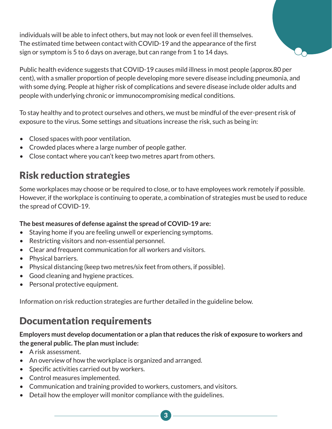individuals will be able to infect others, but may not look or even feel ill themselves. The estimated time between contact with COVID-19 and the appearance of the first sign or symptom is 5 to 6 days on average, but can range from 1 to 14 days.



To stay healthy and to protect ourselves and others, we must be mindful of the ever-present risk of exposure to the virus. Some settings and situations increase the risk, such as being in:

- Closed spaces with poor ventilation.
- Crowded places where a large number of people gather.
- Close contact where you can't keep two metres apart from others.

## Risk reduction strategies

Some workplaces may choose or be required to close, or to have employees work remotely if possible. However, if the workplace is continuing to operate, a combination of strategies must be used to reduce the spread of COVID-19.

#### **The best measures of defense against the spread of COVID-19 are:**

- Staying home if you are feeling unwell or experiencing symptoms.
- Restricting visitors and non-essential personnel.
- Clear and frequent communication for all workers and visitors.
- Physical barriers.
- Physical distancing (keep two metres/six feet from others, if possible).
- Good cleaning and hygiene practices.
- Personal protective equipment.

Information on risk reduction strategies are further detailed in the guideline below.

## Documentation requirements

#### **Employers must develop documentation or a plan that reduces the risk of exposure to workers and the general public. The plan must include:**

- A risk assessment.
- An overview of how the workplace is organized and arranged.
- Specific activities carried out by workers.
- Control measures implemented.
- Communication and training provided to workers, customers, and visitors.
- Detail how the employer will monitor compliance with the guidelines.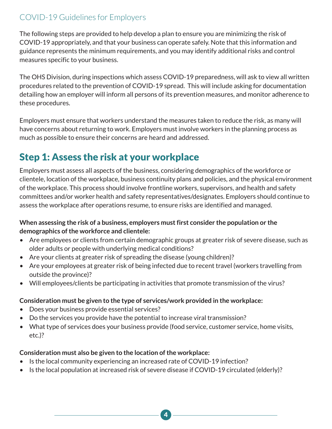The following steps are provided to help develop a plan to ensure you are minimizing the risk of COVID-19 appropriately, and that your business can operate safely. Note that this information and guidance represents the minimum requirements, and you may identify additional risks and control measures specific to your business.

The OHS Division, during inspections which assess COVID-19 preparedness, will ask to view all written procedures related to the prevention of COVID-19 spread. This will include asking for documentation detailing how an employer will inform all persons of its prevention measures, and monitor adherence to these procedures.

Employers must ensure that workers understand the measures taken to reduce the risk, as many will have concerns about returning to work. Employers must involve workers in the planning process as much as possible to ensure their concerns are heard and addressed.

# Step 1: Assess the risk at your workplace

Employers must assess all aspects of the business, considering demographics of the workforce or clientele, location of the workplace, business continuity plans and policies, and the physical environment of the workplace. This process should involve frontline workers, supervisors, and health and safety committees and/or worker health and safety representatives/designates. Employers should continue to assess the workplace after operations resume, to ensure risks are identified and managed.

#### **When assessing the risk of a business, employers must first consider the population or the demographics of the workforce and clientele:**

- Are employees or clients from certain demographic groups at greater risk of severe disease, such as older adults or people with underlying medical conditions?
- Are your clients at greater risk of spreading the disease (young children)?
- Are your employees at greater risk of being infected due to recent travel (workers travelling from outside the province)?
- Will employees/clients be participating in activities that promote transmission of the virus?

#### **Consideration must be given to the type of services/work provided in the workplace:**

- Does your business provide essential services?
- Do the services you provide have the potential to increase viral transmission?
- What type of services does your business provide (food service, customer service, home visits, etc.)?

#### **Consideration must also be given to the location of the workplace:**

- Is the local community experiencing an increased rate of COVID-19 infection?
- Is the local population at increased risk of severe disease if COVID-19 circulated (elderly)?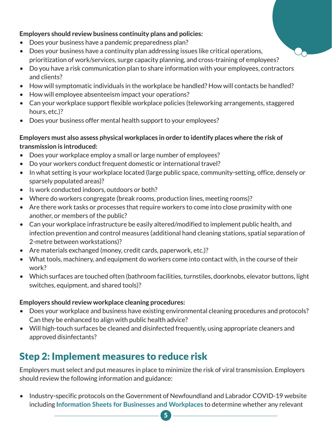#### **Employers should review business continuity plans and policies:**

- Does your business have a pandemic preparedness plan?
- Does your business have a continuity plan addressing issues like critical operations, prioritization of work/services, surge capacity planning, and cross-training of employees?
- Do you have a risk communication plan to share information with your employees, contractors and clients?
- How will symptomatic individuals in the workplace be handled? How will contacts be handled?
- How will employee absenteeism impact your operations?
- Can your workplace support flexible workplace policies (teleworking arrangements, staggered hours, etc.)?
- Does your business offer mental health support to your employees?

#### **Employers must also assess physical workplaces in order to identify places where the risk of transmission is introduced:**

- Does your workplace employ a small or large number of employees?
- Do your workers conduct frequent domestic or international travel?
- In what setting is your workplace located (large public space, community-setting, office, densely or sparsely populated areas)?
- Is work conducted indoors, outdoors or both?
- Where do workers congregate (break rooms, production lines, meeting rooms)?
- Are there work tasks or processes that require workers to come into close proximity with one another, or members of the public?
- Can your workplace infrastructure be easily altered/modified to implement public health, and infection prevention and control measures (additional hand cleaning stations, spatial separation of 2-metre between workstations)?
- Are materials exchanged (money, credit cards, paperwork, etc.)?
- What tools, machinery, and equipment do workers come into contact with, in the course of their work?
- Which surfaces are touched often (bathroom facilities, turnstiles, doorknobs, elevator buttons, light switches, equipment, and shared tools)?

#### **Employers should review workplace cleaning procedures:**

- Does your workplace and business have existing environmental cleaning procedures and protocols? Can they be enhanced to align with public health advice?
- Will high-touch surfaces be cleaned and disinfected frequently, using appropriate cleaners and approved disinfectants?

# Step 2: Implement measures to reduce risk

Employers must select and put measures in place to minimize the risk of viral transmission. Employers should review the following information and guidance:

• Industry-specific protocols on the Government of Newfoundland and Labrador COVID-19 website including **[Information Sheets for Businesses and Workplaces](https://www.gov.nl.ca/covid-19/information-sheets-for-businesses-and-workplaces/)** to determine whether any relevant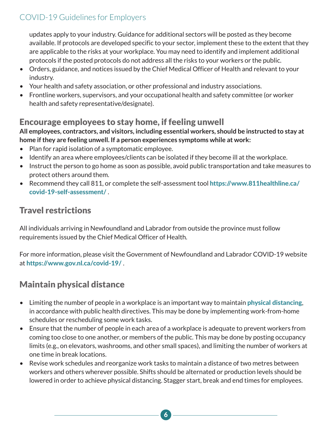updates apply to your industry. Guidance for additional sectors will be posted as they become available. If protocols are developed specific to your sector, implement these to the extent that they are applicable to the risks at your workplace. You may need to identify and implement additional protocols if the posted protocols do not address all the risks to your workers or the public.

- Orders, guidance, and notices issued by the Chief Medical Officer of Health and relevant to your industry.
- Your health and safety association, or other professional and industry associations.
- Frontline workers, supervisors, and your occupational health and safety committee (or worker health and safety representative/designate).

## Encourage employees to stay home, if feeling unwell

**All employees, contractors, and visitors, including essential workers, should be instructed to stay at home if they are feeling unwell. If a person experiences symptoms while at work:**

- Plan for rapid isolation of a symptomatic employee.
- Identify an area where employees/clients can be isolated if they become ill at the workplace.
- Instruct the person to go home as soon as possible, avoid public transportation and take measures to protect others around them.
- Recommend they call 811, or complete the self-assessment tool [https://www.811healthline.ca/](https://www.811healthline.ca/covid-19-self-assessment/) [covid-19-self-assessment/](https://www.811healthline.ca/covid-19-self-assessment/) .

## Travel restrictions

All individuals arriving in Newfoundland and Labrador from outside the province must follow requirements issued by the Chief Medical Officer of Health.

For more information, please visit the Government of Newfoundland and Labrador COVID-19 website at <https://www.gov.nl.ca/covid-19/> .

## Maintain physical distance

- Limiting the number of people in a workplace is an important way to maintain **[physical distancing](https://www.gov.nl.ca/covid-19/files/Physical-Distancing-for-Businesses.pdf)**, in accordance with public health directives. This may be done by implementing work-from-home schedules or rescheduling some work tasks.
- Ensure that the number of people in each area of a workplace is adequate to prevent workers from coming too close to one another, or members of the public. This may be done by posting occupancy limits (e.g., on elevators, washrooms, and other small spaces), and limiting the number of workers at one time in break locations.
- Revise work schedules and reorganize work tasks to maintain a distance of two metres between workers and others wherever possible. Shifts should be alternated or production levels should be lowered in order to achieve physical distancing. Stagger start, break and end times for employees.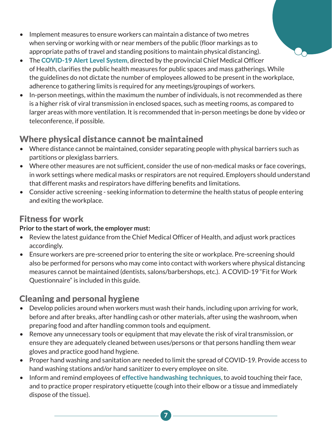- Implement measures to ensure workers can maintain a distance of two metres when serving or working with or near members of the public (floor markings as to appropriate paths of travel and standing positions to maintain physical distancing).
- The [COVID-19 Alert Level System](https://www.gov.nl.ca/covid-19/alert-system/), directed by the provincial Chief Medical Officer of Health, clarifies the public health measures for public spaces and mass gatherings. While the guidelines do not dictate the number of employees allowed to be present in the workplace, adherence to gathering limits is required for any meetings/groupings of workers.
- In-person meetings, within the maximum the number of individuals, is not recommended as there is a higher risk of viral transmission in enclosed spaces, such as meeting rooms, as compared to larger areas with more ventilation. It is recommended that in-person meetings be done by video or teleconference, if possible.

## Where physical distance cannot be maintained

- Where distance cannot be maintained, consider separating people with physical barriers such as partitions or plexiglass barriers.
- Where other measures are not sufficient, consider the use of non-medical masks or face coverings, in work settings where medical masks or respirators are not required. Employers should understand that different masks and respirators have differing benefits and limitations.
- Consider active screening seeking information to determine the health status of people entering and exiting the workplace.

## Fitness for work

#### **Prior to the start of work, the employer must:**

- Review the latest guidance from the Chief Medical Officer of Health, and adjust work practices accordingly.
- Ensure workers are pre-screened prior to entering the site or workplace. Pre-screening should also be performed for persons who may come into contact with workers where physical distancing measures cannot be maintained (dentists, salons/barbershops, etc.). A COVID-19 "Fit for Work Questionnaire" is included in this guide.

## Cleaning and personal hygiene

- Develop policies around when workers must wash their hands, including upon arriving for work, before and after breaks, after handling cash or other materials, after using the washroom, when preparing food and after handling common tools and equipment.
- Remove any unnecessary tools or equipment that may elevate the risk of viral transmission, or ensure they are adequately cleaned between uses/persons or that persons handling them wear gloves and practice good hand hygiene.
- Proper hand washing and sanitation are needed to limit the spread of COVID-19. Provide access to hand washing stations and/or hand sanitizer to every employee on site.
- Inform and remind employees of [effective handwashing techniques](https://www.gov.nl.ca/covid-19/files/Covid19-Hand-Washing-Poster.pdf), to avoid touching their face, and to practice proper respiratory etiquette (cough into their elbow or a tissue and immediately dispose of the tissue).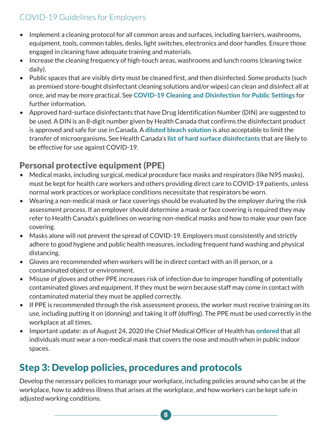- Implement a cleaning protocol for all common areas and surfaces, including barriers, washrooms, equipment, tools, common tables, desks, light switches, electronics and door handles. Ensure those engaged in cleaning have adequate training and materials.
- Increase the cleaning frequency of high-touch areas, washrooms and lunch rooms (cleaning twice daily).
- Public spaces that are visibly dirty must be cleaned first, and then disinfected. Some products (such as premixed store-bought disinfectant cleaning solutions and/or wipes) can clean and disinfect all at once, and may be more practical. See [COVID-19 Cleaning and Disinfection for Public Settings](https://www.gov.nl.ca/covid-19/files/factsheet-covid-19-environmental-cleaning-NL.pdf) for further information.
- Approved hard-surface disinfectants that have Drug Identification Number (DIN) are suggested to be used. A DIN is an 8-digit number given by Health Canada that confirms the disinfectant product is approved and safe for use in Canada. A [diluted bleach solution](https://www.canada.ca/en/health-canada/services/drugs-health-products/disinfectants/covid-19.html) is also acceptable to limit the transfer of microorganisms. See Health Canada's [list of hard surface disinfectants](https://www.canada.ca/en/health-canada/services/drugs-health-products/disinfectants/covid-19/list.html) that are likely to be effective for use against COVID-19.

## Personal protective equipment (PPE)

- Medical masks, including surgical, medical procedure face masks and respirators (like N95 masks), must be kept for health care workers and others providing direct care to COVID-19 patients, unless normal work practices or workplace conditions necessitate that respirators be worn.
- Wearing a non-medical mask or face coverings should be evaluated by the employer during the risk assessment process. If an employer should determine a mask or face covering is required they may refer to Health Canada's guidelines on wearing non-medical masks and how to make your own face covering.
- Masks alone will not prevent the spread of COVID-19. Employers must consistently and strictly adhere to good hygiene and public health measures, including frequent hand washing and physical distancing.
- Gloves are recommended when workers will be in direct contact with an ill person, or a contaminated object or environment.
- Misuse of gloves and other PPE increases risk of infection due to improper handling of potentially contaminated gloves and equipment. If they must be worn because staff may come in contact with contaminated material they must be applied correctly.
- If PPE is recommended through the risk assessment process, the worker must receive training on its use, including putting it on (donning) and taking it off (doffing). The PPE must be used correctly in the workplace at all times.
- Important update: as of August 24, 2020 the Chief Medical Officer of Health has **[ordered](https://www.gov.nl.ca/covid-19/files/Special-Measures-Order-Masks-August-24-2020.pdf)** that all individuals must wear a non-medical mask that covers the nose and mouth when in public indoor spaces.

# Step 3: Develop policies, procedures and protocols

Develop the necessary policies to manage your workplace, including policies around who can be at the workplace, how to address illness that arises at the workplace, and how workers can be kept safe in adjusted working conditions.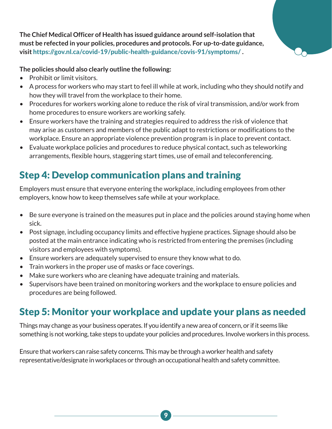**The Chief Medical Officer of Health has issued guidance around self-isolation that must be refected in your policies, procedures and protocols. For up-to-date guidance, visit** https://gov.nl.ca/covid-19/public-health-guidance/covis-91/symptoms/ **.**

#### **The policies should also clearly outline the following:**

- Prohibit or limit visitors.
- A process for workers who may start to feel ill while at work, including who they should notify and how they will travel from the workplace to their home.
- Procedures for workers working alone to reduce the risk of viral transmission, and/or work from home procedures to ensure workers are working safely.
- Ensure workers have the training and strategies required to address the risk of violence that may arise as customers and members of the public adapt to restrictions or modifications to the workplace. Ensure an appropriate violence prevention program is in place to prevent contact.
- Evaluate workplace policies and procedures to reduce physical contact, such as teleworking arrangements, flexible hours, staggering start times, use of email and teleconferencing.

# Step 4: Develop communication plans and training

Employers must ensure that everyone entering the workplace, including employees from other employers, know how to keep themselves safe while at your workplace.

- Be sure everyone is trained on the measures put in place and the policies around staying home when sick.
- Post signage, including occupancy limits and effective hygiene practices. Signage should also be posted at the main entrance indicating who is restricted from entering the premises (including visitors and employees with symptoms).
- Ensure workers are adequately supervised to ensure they know what to do.
- Train workers in the proper use of masks or face coverings.
- Make sure workers who are cleaning have adequate training and materials.
- Supervisors have been trained on monitoring workers and the workplace to ensure policies and procedures are being followed.

## Step 5: Monitor your workplace and update your plans as needed

Things may change as your business operates. If you identify a new area of concern, or if it seems like something is not working, take steps to update your policies and procedures. Involve workers in this process.

Ensure that workers can raise safety concerns. This may be through a worker health and safety representative/designate in workplaces or through an occupational health and safety committee.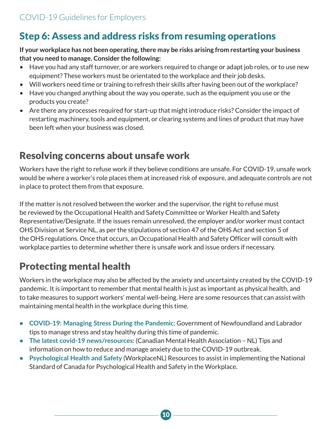# Step 6: Assess and address risks from resuming operations

#### **If your workplace has not been operating, there may be risks arising from restarting your business that you need to manage. Consider the following:**

- Have you had any staff turnover, or are workers required to change or adapt job roles, or to use new equipment? These workers must be orientated to the workplace and their job desks.
- Will workers need time or training to refresh their skills after having been out of the workplace?
- Have you changed anything about the way you operate, such as the equipment you use or the products you create?
- Are there any processes required for start-up that might introduce risks? Consider the impact of restarting machinery, tools and equipment, or clearing systems and lines of product that may have been left when your business was closed.

## Resolving concerns about unsafe work

Workers have the right to refuse work if they believe conditions are unsafe. For COVID-19, unsafe work would be where a worker's role places them at increased risk of exposure, and adequate controls are not in place to protect them from that exposure.

If the matter is not resolved between the worker and the supervisor, the right to refuse must be reviewed by the Occupational Health and Safety Committee or Worker Health and Safety Representative/Designate. If the issues remain unresolved, the employer and/or worker must contact OHS Division at Service NL, as per the stipulations of section 47 of the OHS Act and section 5 of the OHS regulations. Once that occurs, an Occupational Health and Safety Officer will consult with workplace parties to determine whether there is unsafe work and issue orders if necessary.

# Protecting mental health

Workers in the workplace may also be affected by the anxiety and uncertainty created by the COVID-19 pandemic. It is important to remember that mental health is just as important as physical health, and to take measures to support workers' mental well-being. Here are some resources that can assist with maintaining mental health in the workplace during this time.

- [COVID-19: Managing Stress During the Pandemic](https://www.gov.nl.ca/covid-19/files/Managing-Stress-During-the-Pandemic.pdf): Government of Newfoundland and Labrador tips to manage stress and stay healthy during this time of pandemic.
- [The latest covid-19 news/resources](http://cmhanl.ca/the-latest/news/covid-19-news-precautions-resources/): (Canadian Mental Health Association NL) Tips and information on how to reduce and manage anxiety due to the COVID-19 outbreak.
- [Psychological Health and Safety](https://workplacenl.ca/employers/health-and-safety/psychological-health-and-safety/) (WorkplaceNL) Resources to assist in implementing the National Standard of Canada for Psychological Health and Safety in the Workplace.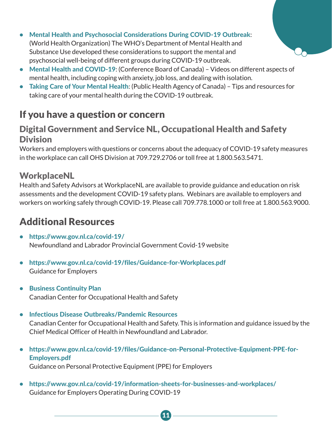- [Mental Health and Psychosocial Considerations During COVID-19 Outbreak](https://www.who.int/docs/default-source/coronaviruse/mental-health-considerations.pdf): (World Health Organization) The WHO's Department of Mental Health and Substance Use developed these considerations to support the mental and psychosocial well-being of different groups during COVID-19 outbreak.
- [Mental Health and COVID-19](https://www.conferenceboard.ca/insights/covid-19?AspxAutoDetectCookieSupport=1): (Conference Board of Canada) Videos on different aspects of mental health, including coping with anxiety, job loss, and dealing with isolation.
- [Taking Care of Your Mental Health](https://www.canada.ca/en/public-health/services/diseases/2019-novel-coronavirus-infection/mental-health.html): (Public Health Agency of Canada) Tips and resources for taking care of your mental health during the COVID-19 outbreak.

# If you have a question or concern

## Digital Government and Service NL, Occupational Health and Safety **Division**

Workers and employers with questions or concerns about the adequacy of COVID-19 safety measures in the workplace can call OHS Division at 709.729.2706 or toll free at 1.800.563.5471.

## **WorkplaceNL**

Health and Safety Advisors at WorkplaceNL are available to provide guidance and education on risk assessments and the development COVID-19 safety plans. Webinars are available to employers and workers on working safely through COVID-19. Please call 709.778.1000 or toll free at 1.800.563.9000.

# Additional Resources

- <https://www.gov.nl.ca/covid-19/> Newfoundland and Labrador Provincial Government Covid-19 website
- <https://www.gov.nl.ca/covid-19/files/Guidance-for-Workplaces.pdf> Guidance for Employers
- [Business Continuity Plan](https://www.ccohs.ca/publications/PDF/businesscontinuity.pdf) Canadian Center for Occupational Health and Safety
- [Infectious Disease Outbreaks/Pandemic Resources](https://www.ccohs.ca/outbreaks/) Canadian Center for Occupational Health and Safety. This is information and guidance issued by the Chief Medical Officer of Health in Newfoundland and Labrador.
- [https://www.gov.nl.ca/covid-19/files/Guidance-on-Personal-Protective-Equipment-PPE-for-](https://www.gov.nl.ca/covid-19/files/Guidance-on-Personal-Protective-Equipment-PPE-for-Employers.pdf)[Employers.pdf](https://www.gov.nl.ca/covid-19/files/Guidance-on-Personal-Protective-Equipment-PPE-for-Employers.pdf)

11

Guidance on Personal Protective Equipment (PPE) for Employers

• <https://www.gov.nl.ca/covid-19/information-sheets-for-businesses-and-workplaces/> Guidance for Employers Operating During COVID-19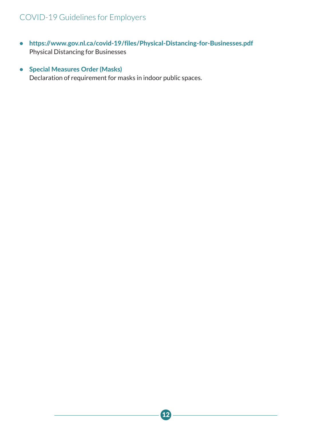- <https://www.gov.nl.ca/covid-19/files/Physical-Distancing-for-Businesses.pdf> Physical Distancing for Businesses
- [Special Measures Order \(Masks\)](https://www.gov.nl.ca/covid-19/files/Special-Measures-Order-Masks-August-24-2020.pdf) Declaration of requirement for masks in indoor public spaces.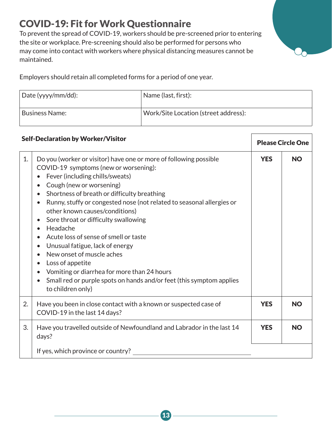# COVID-19: Fit for Work Questionnaire

To prevent the spread of COVID-19, workers should be pre-screened prior to entering the site or workplace. Pre-screening should also be performed for persons who may come into contact with workers where physical distancing measures cannot be maintained.

Employers should retain all completed forms for a period of one year.

| Date (yyyy/mm/dd): | Name (last, first):                  |
|--------------------|--------------------------------------|
| Business Name:     | Work/Site Location (street address): |

| <b>Self-Declaration by Worker/Visitor</b> |                                                                                                                                                                                                                                                                                                                                                                                                                                                                                                                                                                                                                                                                                                                                                                                                    | <b>Please Circle One</b> |           |
|-------------------------------------------|----------------------------------------------------------------------------------------------------------------------------------------------------------------------------------------------------------------------------------------------------------------------------------------------------------------------------------------------------------------------------------------------------------------------------------------------------------------------------------------------------------------------------------------------------------------------------------------------------------------------------------------------------------------------------------------------------------------------------------------------------------------------------------------------------|--------------------------|-----------|
| 1.                                        | Do you (worker or visitor) have one or more of following possible<br>COVID-19 symptoms (new or worsening):<br>Fever (including chills/sweats)<br>$\bullet$<br>Cough (new or worsening)<br>$\bullet$<br>Shortness of breath or difficulty breathing<br>Runny, stuffy or congested nose (not related to seasonal allergies or<br>$\bullet$<br>other known causes/conditions)<br>Sore throat or difficulty swallowing<br>$\bullet$<br>Headache<br>$\bullet$<br>Acute loss of sense of smell or taste<br>$\bullet$<br>Unusual fatigue, lack of energy<br>$\bullet$<br>New onset of muscle aches<br>Loss of appetite<br>$\bullet$<br>Vomiting or diarrhea for more than 24 hours<br>$\bullet$<br>Small red or purple spots on hands and/or feet (this symptom applies<br>$\bullet$<br>to children only) | <b>YES</b>               | <b>NO</b> |
| 2.                                        | Have you been in close contact with a known or suspected case of<br>COVID-19 in the last 14 days?                                                                                                                                                                                                                                                                                                                                                                                                                                                                                                                                                                                                                                                                                                  | <b>YES</b>               | <b>NO</b> |
| 3.                                        | Have you travelled outside of Newfoundland and Labrador in the last 14<br>days?                                                                                                                                                                                                                                                                                                                                                                                                                                                                                                                                                                                                                                                                                                                    | <b>YES</b>               | <b>NO</b> |
|                                           | If yes, which province or country?                                                                                                                                                                                                                                                                                                                                                                                                                                                                                                                                                                                                                                                                                                                                                                 |                          |           |